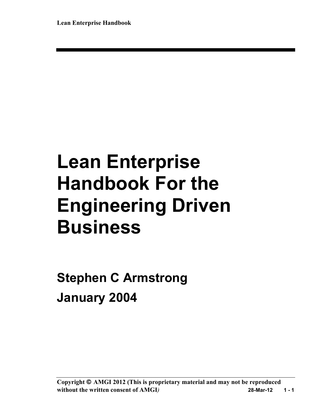# **Lean Enterprise Handbook For the Engineering Driven Business**

**Stephen C Armstrong January 2004**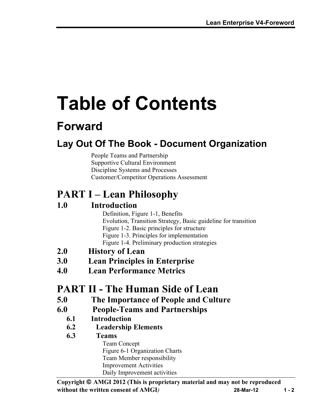# **Table of Contents**

# **Forward**

## **Lay Out Of The Book - Document Organization**

People Teams and Partnership Supportive Cultural Environment Discipline Systems and Processes Customer/Competitor Operations Assessment

# **PART I – Lean Philosophy**

## **1.0 Introduction**

Definition, Figure 1-1, Benefits Evolution, Transition Strategy, Basic guideline for transition Figure 1-2. Basic principles for structure Figure 1-3. Principles for implementation Figure 1-4. Preliminary production strategies

- **2.0 History of Lean**
- **3.0 Lean Principles in Enterprise**
- **4.0 Lean Performance Metrics**

## **PART II - The Human Side of Lean**

- **5.0 The Importance of People and Culture**
- **6.0 People-Teams and Partnerships**
	- **6.1 Introduction**
	- **6.2 Leadership Elements**
	- **6.3 Teams** Team Concept Figure 6-1 Organization Charts Team Member responsibility Improvement Activities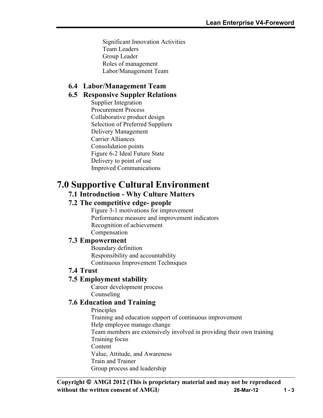Significant Innovation Activities Team Leaders Group Leader Roles of management Labor/Management Team

## **6.4 Labor/Management Team**

### **6.5 Responsive Suppler Relations**

Supplier Integration Procurement Process Collaborative product design Selection of Preferred Suppliers Delivery Management Carrier Alliances Consolidation points Figure 6-2 Ideal Future State Delivery to point of use Improved Communications

## **7.0 Supportive Cultural Environment**

### **7.1 Introduction - Why Culture Matters**

## **7.2 The competitive edge- people**

Figure 3-1 motivations for improvement Performance measure and improvement indicators Recognition of achievement Compensation

### **7.3 Empowerment**

Boundary definition Responsibility and accountability Continuous Improvement Techniques

## **7.4 Trust**

### **7.5 Employment stability**

Career development process Counseling

### **7.6 Education and Training**

Principles Training and education support of continuous improvement Help employee manage change Team members are extensively involved in providing their own training Training focus **Content** Value, Attitude, and Awareness Train and Trainer Group process and leadership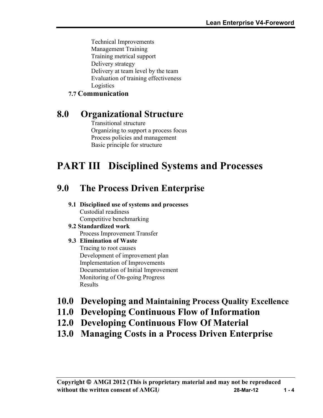Technical Improvements Management Training Training metrical support Delivery strategy Delivery at team level by the team Evaluation of training effectiveness Logistics

## **7.7 Communication**

## **8.0 Organizational Structure**

Transitional structure Organizing to support a process focus Process policies and management Basic principle for structure

# **PART III Disciplined Systems and Processes**

## **9.0 The Process Driven Enterprise**

#### **9.1 Disciplined use of systems and processes** Custodial readiness Competitive benchmarking

**9.2 Standardized work** Process Improvement Transfer

### **9.3 Elimination of Waste**

Tracing to root causes Development of improvement plan Implementation of Improvements Documentation of Initial Improvement Monitoring of On-going Progress Results

- **10.0 Developing and Maintaining Process Quality Excellence**
- **11.0 Developing Continuous Flow of Information**
- **12.0 Developing Continuous Flow Of Material**
- **13.0 Managing Costs in a Process Driven Enterprise**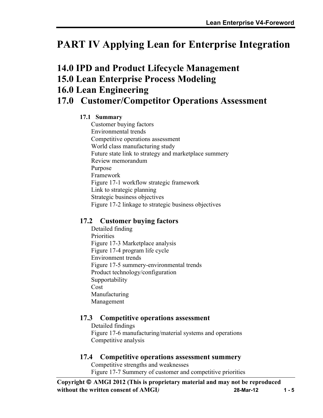# **PART IV Applying Lean for Enterprise Integration**

## **14.0 IPD and Product Lifecycle Management**

**15.0 Lean Enterprise Process Modeling**

## **16.0 Lean Engineering**

## **17.0 Customer/Competitor Operations Assessment**

### **17.1 Summary**

Customer buying factors Environmental trends Competitive operations assessment World class manufacturing study Future state link to strategy and marketplace summery Review memorandum Purpose Framework Figure 17-1 workflow strategic framework Link to strategic planning Strategic business objectives Figure 17-2 linkage to strategic business objectives

## **17.2 Customer buying factors**

Detailed finding **Priorities** Figure 17-3 Marketplace analysis Figure 17-4 program life cycle Environment trends Figure 17-5 summery-environmental trends Product technology/configuration Supportability Cost Manufacturing Management

## **17.3 Competitive operations assessment**

Detailed findings Figure 17-6 manufacturing/material systems and operations Competitive analysis

### **17.4 Competitive operations assessment summery**

Competitive strengths and weaknesses Figure 17-7 Summery of customer and competitive priorities